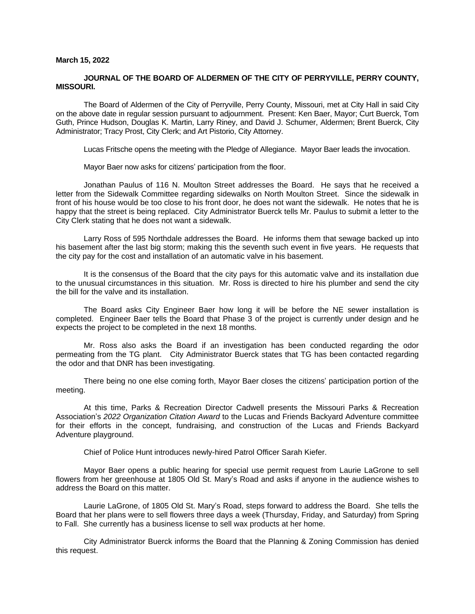#### **March 15, 2022**

### **JOURNAL OF THE BOARD OF ALDERMEN OF THE CITY OF PERRYVILLE, PERRY COUNTY, MISSOURI.**

The Board of Aldermen of the City of Perryville, Perry County, Missouri, met at City Hall in said City on the above date in regular session pursuant to adjournment. Present: Ken Baer, Mayor; Curt Buerck, Tom Guth, Prince Hudson, Douglas K. Martin, Larry Riney, and David J. Schumer, Aldermen; Brent Buerck, City Administrator; Tracy Prost, City Clerk; and Art Pistorio, City Attorney.

Lucas Fritsche opens the meeting with the Pledge of Allegiance. Mayor Baer leads the invocation.

Mayor Baer now asks for citizens' participation from the floor.

Jonathan Paulus of 116 N. Moulton Street addresses the Board. He says that he received a letter from the Sidewalk Committee regarding sidewalks on North Moulton Street. Since the sidewalk in front of his house would be too close to his front door, he does not want the sidewalk. He notes that he is happy that the street is being replaced. City Administrator Buerck tells Mr. Paulus to submit a letter to the City Clerk stating that he does not want a sidewalk.

Larry Ross of 595 Northdale addresses the Board. He informs them that sewage backed up into his basement after the last big storm; making this the seventh such event in five years. He requests that the city pay for the cost and installation of an automatic valve in his basement.

It is the consensus of the Board that the city pays for this automatic valve and its installation due to the unusual circumstances in this situation. Mr. Ross is directed to hire his plumber and send the city the bill for the valve and its installation.

The Board asks City Engineer Baer how long it will be before the NE sewer installation is completed. Engineer Baer tells the Board that Phase 3 of the project is currently under design and he expects the project to be completed in the next 18 months.

Mr. Ross also asks the Board if an investigation has been conducted regarding the odor permeating from the TG plant. City Administrator Buerck states that TG has been contacted regarding the odor and that DNR has been investigating.

There being no one else coming forth, Mayor Baer closes the citizens' participation portion of the meeting.

At this time, Parks & Recreation Director Cadwell presents the Missouri Parks & Recreation Association's *2022 Organization Citation Award* to the Lucas and Friends Backyard Adventure committee for their efforts in the concept, fundraising, and construction of the Lucas and Friends Backyard Adventure playground.

Chief of Police Hunt introduces newly-hired Patrol Officer Sarah Kiefer.

Mayor Baer opens a public hearing for special use permit request from Laurie LaGrone to sell flowers from her greenhouse at 1805 Old St. Mary's Road and asks if anyone in the audience wishes to address the Board on this matter.

Laurie LaGrone, of 1805 Old St. Mary's Road, steps forward to address the Board. She tells the Board that her plans were to sell flowers three days a week (Thursday, Friday, and Saturday) from Spring to Fall. She currently has a business license to sell wax products at her home.

City Administrator Buerck informs the Board that the Planning & Zoning Commission has denied this request.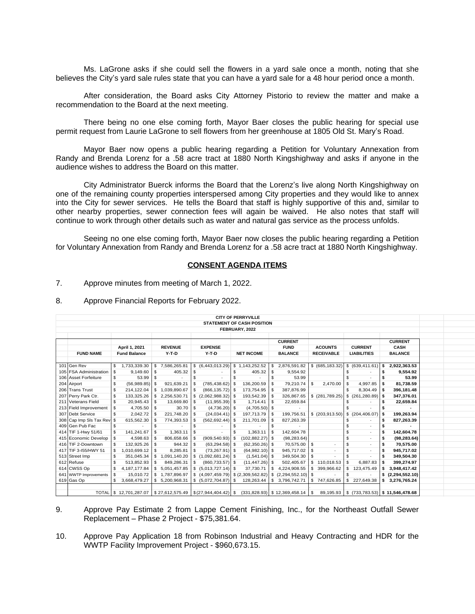Ms. LaGrone asks if she could sell the flowers in a yard sale once a month, noting that she believes the City's yard sale rules state that you can have a yard sale for a 48 hour period once a month.

After consideration, the Board asks City Attorney Pistorio to review the matter and make a recommendation to the Board at the next meeting.

There being no one else coming forth, Mayor Baer closes the public hearing for special use permit request from Laurie LaGrone to sell flowers from her greenhouse at 1805 Old St. Mary's Road.

Mayor Baer now opens a public hearing regarding a Petition for Voluntary Annexation from Randy and Brenda Lorenz for a .58 acre tract at 1880 North Kingshighway and asks if anyone in the audience wishes to address the Board on this matter.

City Administrator Buerck informs the Board that the Lorenz's live along North Kingshighway on one of the remaining county properties interspersed among City properties and they would like to annex into the City for sewer services. He tells the Board that staff is highly supportive of this and, similar to other nearby properties, sewer connection fees will again be waived. He also notes that staff will continue to work through other details such as water and natural gas service as the process unfolds.

Seeing no one else coming forth, Mayor Baer now closes the public hearing regarding a Petition for Voluntary Annexation from Randy and Brenda Lorenz for a .58 acre tract at 1880 North Kingshighway.

# **CONSENT AGENDA ITEMS**

- 7. Approve minutes from meeting of March 1, 2022.
- 8. Approve Financial Reports for February 2022.

|                                   |                     |                        |                |                                                          |                |                                   |      | <b>CITY OF PERRYVILLE</b> |            |                                    |                          |                   |    |                    |    |                                                |  |
|-----------------------------------|---------------------|------------------------|----------------|----------------------------------------------------------|----------------|-----------------------------------|------|---------------------------|------------|------------------------------------|--------------------------|-------------------|----|--------------------|----|------------------------------------------------|--|
| <b>STATEMENT OF CASH POSITION</b> |                     |                        |                |                                                          |                |                                   |      |                           |            |                                    |                          |                   |    |                    |    |                                                |  |
| FEBRUARY, 2022                    |                     |                        |                |                                                          |                |                                   |      |                           |            |                                    |                          |                   |    |                    |    |                                                |  |
|                                   |                     |                        |                |                                                          |                |                                   |      |                           |            |                                    |                          |                   |    |                    |    |                                                |  |
|                                   |                     |                        |                |                                                          |                |                                   |      |                           |            | <b>CURRENT</b>                     |                          |                   |    |                    |    | <b>CURRENT</b>                                 |  |
|                                   | April 1, 2021       |                        | <b>REVENUE</b> |                                                          | <b>EXPENSE</b> |                                   |      |                           |            | <b>FUND</b>                        |                          | <b>ACOUNTS</b>    |    | <b>CURRENT</b>     |    | <b>CASH</b>                                    |  |
| <b>FUND NAME</b>                  | <b>Fund Balance</b> |                        | $Y-T-D$        |                                                          | $Y-T-D$        |                                   |      | <b>NET INCOME</b>         |            | <b>BALANCE</b>                     |                          | <b>RECEIVABLE</b> |    | <b>LIABILITIES</b> |    | <b>BALANCE</b>                                 |  |
|                                   |                     |                        |                |                                                          |                |                                   |      |                           |            |                                    |                          |                   |    |                    |    |                                                |  |
| 101 Gen Rev                       | \$                  | 1,733,339.30           | $\mathbf{s}$   | 7,586,265.81                                             |                | \$ (6,443,013.29)                 |      | \$1,143,252.52            | S.         | 2,876,591.82                       |                          | \$ (685, 183.32)  |    | \$ (639, 411.61)   | S  | 2,922,363.53                                   |  |
| 105 FSA Administration            | -S                  | 9.149.60               | - \$           | 405.32                                                   |                |                                   | \$   | 405.32                    | - \$       | 9,554.92                           |                          |                   |    |                    | S  | 9,554.92                                       |  |
| 106 Asset Forfeiture              | S                   | 53.99                  | - \$           |                                                          | \$             |                                   |      |                           | \$         | 53.99                              |                          |                   |    |                    |    | 53.99                                          |  |
| 204 Airport                       | \$.                 | (56,989.85)            |                | 921,639.21                                               |                | (785, 438.62)                     | l \$ | 136,200.59                | - \$       | 79,210.74                          | s.                       | 2.470.00          | S  | 4,997.85           | ŝ. | 81,738.59                                      |  |
| 206 Trans Trust                   | S                   | 214,122.04             | -S             | 1,039,890.67                                             |                | $(866, 135.72)$ \$                |      | 173,754.95                | - \$       | 387,876.99                         |                          |                   |    | 8,304.49           | S  | 396,181.48                                     |  |
| 207 Perry Park Ctr.               | S                   | 133,325.26             | S.             | 2,256,530.71                                             |                |                                   |      | 193,542.39                | -S         | 326,867.65                         |                          | $$$ (281,789.25)  |    |                    |    | 347,376.01                                     |  |
| 211 Veterans Field                | \$.                 | 20,945.43              | l S            | 13,669.80                                                | S              | $(11,955.39)$ \$                  |      | 1,714.41                  | -S         | 22,659.84                          |                          |                   |    |                    |    | 22,659.84                                      |  |
| 213 Field Improvement             | S                   | 4,705.50               | <b>S</b>       | 30.70                                                    | S              | $(4,736.20)$ \$                   |      | $(4,705.50)$ \$           |            |                                    |                          |                   |    |                    |    |                                                |  |
| 307 Debt Service                  | \$.                 | 2,042.72               |                | 221,748.20                                               |                | $(24,034.41)$ \$                  |      | 197,713.79                | $\sqrt{3}$ | 199,756.51                         |                          | \$(203,913.50)    |    | \$(204, 406.07)    | S  | 199,263.94                                     |  |
| 308 Cap Imp SIs Tax Rev \$        |                     | 615,562.30             | - \$           | 774,393.53                                               |                | $(562, 692.44)$ \$                |      | 211,701.09                | -S         | 827,263.39                         |                          |                   |    |                    | \$ | 827,263.39                                     |  |
| 409 Gen Pub Fac                   | S                   |                        | S.             |                                                          | s              |                                   | \$   |                           | S.         |                                    |                          |                   |    |                    | s  |                                                |  |
| 414 TIF 1-Hwy 51/61               |                     | 141.241.67             | \$             | 1.363.11                                                 | \$             |                                   |      | 1,363.11                  | - \$       | 142,604.78                         |                          |                   |    |                    | s  | 142,604.78                                     |  |
| 415 Economic Develop              |                     | 4,598.63               | l S            | 806,658.66                                               |                | $(909, 540.93)$ \$                |      | $(102, 882.27)$ \$        |            | (98, 283.64)                       |                          |                   |    |                    | s  | (98, 283.64)                                   |  |
| 416 TIF 2-Downtown                |                     | 132,925.26             | l \$           | 944.32                                                   | \$             | $(63, 294.58)$ \$                 |      | $(62,350.26)$ \$          |            | 70,575.00                          | $\overline{\phantom{a}}$ |                   |    |                    | s  | 70,575.00                                      |  |
| 417 TIF 3-155/HWY 51              | s.                  | 1,010,699.12           | l S            | 8,285.81                                                 | -S             | $(73, 267.91)$ \$                 |      | $(64,982.10)$ \$          |            | 945,717.02                         | s.                       |                   |    |                    | s  | 945,717.02                                     |  |
| 513 Street Imp                    | S                   | 351,045.34             | -S             | 1,091,140.20                                             |                |                                   |      | $(1,541.04)$ \$           |            | 349,504.30                         | s.                       |                   |    |                    | s  | 349,504.30                                     |  |
| 612 Refuse                        | S                   | 513,852.93             | l S            | 849,286.31                                               | S              | $(860, 733.57)$ \$                |      | $(11, 447.26)$ \$         |            | 502,405.67                         |                          | \$110,018.53      |    | 6,887.83           | -S | 399,274.97                                     |  |
| 614 CWSS Op                       | S                   | 4, 187, 177.84         |                | 5,051,457.85                                             |                |                                   |      | 37,730.71                 | \$         | 4,224,908.55                       | \$                       | 399,966.62        |    | 123,475.49         |    | 3,948,417.42                                   |  |
| 641 WWTP Improvements             |                     | 15,010.72              |                | 1,787,896.97                                             |                | $(4,097,459.79)$ $(2,309,562.82)$ |      |                           | \$         | $(2,294,552.10)$ \$                |                          |                   |    |                    |    | \$(2,294,552.10)                               |  |
| 619 Gas Op                        | S                   | 3,668,479.27           |                | \$ 5,200,968.31                                          |                |                                   |      | 128,263.44                | \$         | 3,796,742.71                       |                          | \$747,626.85      | \$ | 227,649.38         | s. | 3,276,765.24                                   |  |
|                                   |                     |                        |                |                                                          |                |                                   |      |                           |            |                                    |                          |                   |    |                    |    |                                                |  |
|                                   |                     | TOTAL \$ 12,701,287.07 |                | $\frac{1}{2}$ \$27,612,575.49 \ \ \$(27,944,404.42) \ \$ |                |                                   |      |                           |            | $(331,828.93)$ \$ 12,369,458.14 \$ |                          |                   |    |                    |    | 89,195.93   \$ (733,783.53)   \$ 11,546,478.68 |  |

9. Approve Pay Estimate 2 from Lappe Cement Finishing, Inc., for the Northeast Outfall Sewer Replacement – Phase 2 Project - \$75,381.64.

10. Approve Pay Application 18 from Robinson Industrial and Heavy Contracting and HDR for the WWTP Facility Improvement Project - \$960,673.15.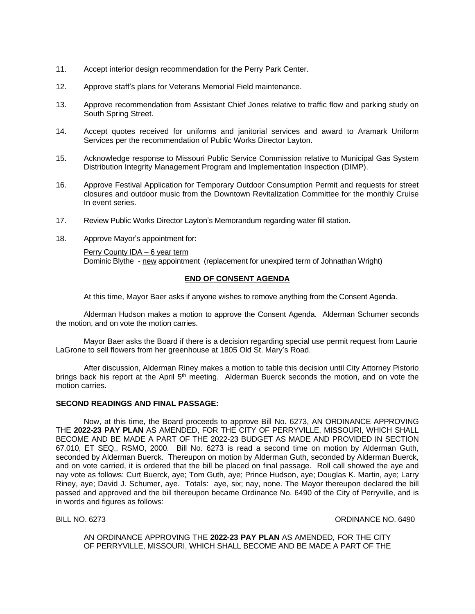- 11. Accept interior design recommendation for the Perry Park Center.
- 12. Approve staff's plans for Veterans Memorial Field maintenance.
- 13. Approve recommendation from Assistant Chief Jones relative to traffic flow and parking study on South Spring Street.
- 14. Accept quotes received for uniforms and janitorial services and award to Aramark Uniform Services per the recommendation of Public Works Director Layton.
- 15. Acknowledge response to Missouri Public Service Commission relative to Municipal Gas System Distribution Integrity Management Program and Implementation Inspection (DIMP).
- 16. Approve Festival Application for Temporary Outdoor Consumption Permit and requests for street closures and outdoor music from the Downtown Revitalization Committee for the monthly Cruise In event series.
- 17. Review Public Works Director Layton's Memorandum regarding water fill station.
- 18. Approve Mayor's appointment for:

Perry County IDA – 6 year term Dominic Blythe - new appointment (replacement for unexpired term of Johnathan Wright)

# **END OF CONSENT AGENDA**

At this time, Mayor Baer asks if anyone wishes to remove anything from the Consent Agenda.

Alderman Hudson makes a motion to approve the Consent Agenda. Alderman Schumer seconds the motion, and on vote the motion carries.

Mayor Baer asks the Board if there is a decision regarding special use permit request from Laurie LaGrone to sell flowers from her greenhouse at 1805 Old St. Mary's Road.

After discussion, Alderman Riney makes a motion to table this decision until City Attorney Pistorio brings back his report at the April 5<sup>th</sup> meeting. Alderman Buerck seconds the motion, and on vote the motion carries.

### **SECOND READINGS AND FINAL PASSAGE:**

Now, at this time, the Board proceeds to approve Bill No. 6273, AN ORDINANCE APPROVING THE **2022-23 PAY PLAN** AS AMENDED, FOR THE CITY OF PERRYVILLE, MISSOURI, WHICH SHALL BECOME AND BE MADE A PART OF THE 2022-23 BUDGET AS MADE AND PROVIDED IN SECTION 67.010, ET SEQ., RSMO, 2000. Bill No. 6273 is read a second time on motion by Alderman Guth, seconded by Alderman Buerck. Thereupon on motion by Alderman Guth, seconded by Alderman Buerck, and on vote carried, it is ordered that the bill be placed on final passage. Roll call showed the aye and nay vote as follows: Curt Buerck, aye; Tom Guth, aye; Prince Hudson, aye; Douglas K. Martin, aye; Larry Riney, aye; David J. Schumer, aye. Totals: aye, six; nay, none. The Mayor thereupon declared the bill passed and approved and the bill thereupon became Ordinance No. 6490 of the City of Perryville, and is in words and figures as follows:

BILL NO. 6273 CHEEF CONSULTER STATES AND THE SERVICE OF STATES OR DINANCE NO. 6490

AN ORDINANCE APPROVING THE **2022-23 PAY PLAN** AS AMENDED, FOR THE CITY OF PERRYVILLE, MISSOURI, WHICH SHALL BECOME AND BE MADE A PART OF THE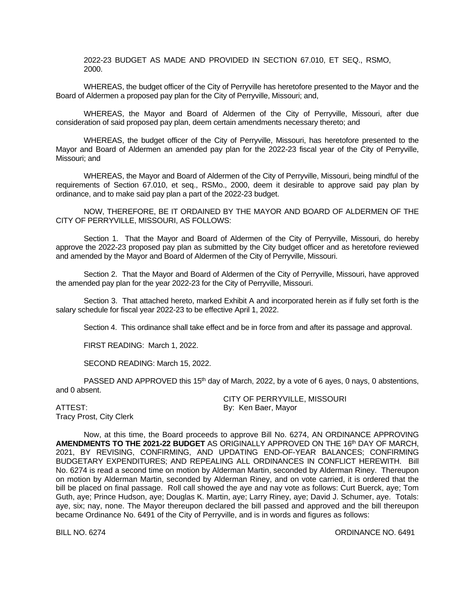2022-23 BUDGET AS MADE AND PROVIDED IN SECTION 67.010, ET SEQ., RSMO, 2000.

WHEREAS, the budget officer of the City of Perryville has heretofore presented to the Mayor and the Board of Aldermen a proposed pay plan for the City of Perryville, Missouri; and,

WHEREAS, the Mayor and Board of Aldermen of the City of Perryville, Missouri, after due consideration of said proposed pay plan, deem certain amendments necessary thereto; and

WHEREAS, the budget officer of the City of Perryville, Missouri, has heretofore presented to the Mayor and Board of Aldermen an amended pay plan for the 2022-23 fiscal year of the City of Perryville, Missouri; and

WHEREAS, the Mayor and Board of Aldermen of the City of Perryville, Missouri, being mindful of the requirements of Section 67.010, et seq., RSMo., 2000, deem it desirable to approve said pay plan by ordinance, and to make said pay plan a part of the 2022-23 budget.

NOW, THEREFORE, BE IT ORDAINED BY THE MAYOR AND BOARD OF ALDERMEN OF THE CITY OF PERRYVILLE, MISSOURI, AS FOLLOWS:

Section 1. That the Mayor and Board of Aldermen of the City of Perryville, Missouri, do hereby approve the 2022-23 proposed pay plan as submitted by the City budget officer and as heretofore reviewed and amended by the Mayor and Board of Aldermen of the City of Perryville, Missouri.

Section 2. That the Mayor and Board of Aldermen of the City of Perryville, Missouri, have approved the amended pay plan for the year 2022-23 for the City of Perryville, Missouri.

Section 3. That attached hereto, marked Exhibit A and incorporated herein as if fully set forth is the salary schedule for fiscal year 2022-23 to be effective April 1, 2022.

Section 4. This ordinance shall take effect and be in force from and after its passage and approval.

FIRST READING: March 1, 2022.

SECOND READING: March 15, 2022.

PASSED AND APPROVED this 15<sup>th</sup> day of March, 2022, by a vote of 6 ayes, 0 nays, 0 abstentions, and 0 absent.

ATTEST: By: Ken Baer, Mayor Tracy Prost, City Clerk

CITY OF PERRYVILLE, MISSOURI

Now, at this time, the Board proceeds to approve Bill No. 6274, AN ORDINANCE APPROVING **AMENDMENTS TO THE 2021-22 BUDGET** AS ORIGINALLY APPROVED ON THE 16 th DAY OF MARCH, 2021, BY REVISING, CONFIRMING, AND UPDATING END-OF-YEAR BALANCES; CONFIRMING BUDGETARY EXPENDITURES; AND REPEALING ALL ORDINANCES IN CONFLICT HEREWITH. Bill No. 6274 is read a second time on motion by Alderman Martin, seconded by Alderman Riney. Thereupon on motion by Alderman Martin, seconded by Alderman Riney, and on vote carried, it is ordered that the bill be placed on final passage. Roll call showed the aye and nay vote as follows: Curt Buerck, aye; Tom Guth, aye; Prince Hudson, aye; Douglas K. Martin, aye; Larry Riney, aye; David J. Schumer, aye. Totals: aye, six; nay, none. The Mayor thereupon declared the bill passed and approved and the bill thereupon became Ordinance No. 6491 of the City of Perryville, and is in words and figures as follows:

BILL NO. 6274 CREAR ORDINANCE NO. 6491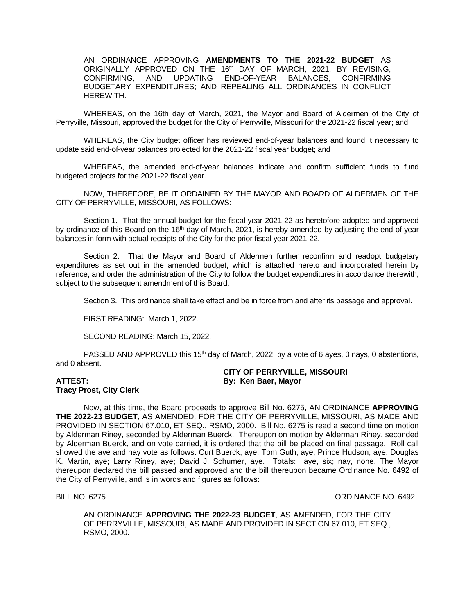AN ORDINANCE APPROVING **AMENDMENTS TO THE 2021-22 BUDGET** AS ORIGINALLY APPROVED ON THE 16<sup>th</sup> DAY OF MARCH, 2021, BY REVISING, CONFIRMING, AND UPDATING END-OF-YEAR BALANCES; CONFIRMING BUDGETARY EXPENDITURES; AND REPEALING ALL ORDINANCES IN CONFLICT HEREWITH.

WHEREAS, on the 16th day of March, 2021, the Mayor and Board of Aldermen of the City of Perryville, Missouri, approved the budget for the City of Perryville, Missouri for the 2021-22 fiscal year; and

WHEREAS, the City budget officer has reviewed end-of-year balances and found it necessary to update said end-of-year balances projected for the 2021-22 fiscal year budget; and

WHEREAS, the amended end-of-year balances indicate and confirm sufficient funds to fund budgeted projects for the 2021-22 fiscal year.

NOW, THEREFORE, BE IT ORDAINED BY THE MAYOR AND BOARD OF ALDERMEN OF THE CITY OF PERRYVILLE, MISSOURI, AS FOLLOWS:

Section 1. That the annual budget for the fiscal year 2021-22 as heretofore adopted and approved by ordinance of this Board on the 16<sup>th</sup> day of March, 2021, is hereby amended by adjusting the end-of-year balances in form with actual receipts of the City for the prior fiscal year 2021-22.

Section 2. That the Mayor and Board of Aldermen further reconfirm and readopt budgetary expenditures as set out in the amended budget, which is attached hereto and incorporated herein by reference, and order the administration of the City to follow the budget expenditures in accordance therewith, subject to the subsequent amendment of this Board.

Section 3. This ordinance shall take effect and be in force from and after its passage and approval.

FIRST READING: March 1, 2022.

SECOND READING: March 15, 2022.

PASSED AND APPROVED this 15<sup>th</sup> day of March, 2022, by a vote of 6 ayes, 0 nays, 0 abstentions, and 0 absent.

# **Tracy Prost, City Clerk**

# **CITY OF PERRYVILLE, MISSOURI ATTEST: By: Ken Baer, Mayor**

Now, at this time, the Board proceeds to approve Bill No. 6275, AN ORDINANCE **APPROVING THE 2022-23 BUDGET**, AS AMENDED, FOR THE CITY OF PERRYVILLE, MISSOURI, AS MADE AND PROVIDED IN SECTION 67.010, ET SEQ., RSMO, 2000. Bill No. 6275 is read a second time on motion by Alderman Riney, seconded by Alderman Buerck. Thereupon on motion by Alderman Riney, seconded by Alderman Buerck, and on vote carried, it is ordered that the bill be placed on final passage. Roll call showed the aye and nay vote as follows: Curt Buerck, aye; Tom Guth, aye; Prince Hudson, aye; Douglas K. Martin, aye; Larry Riney, aye; David J. Schumer, aye. Totals: aye, six; nay, none. The Mayor thereupon declared the bill passed and approved and the bill thereupon became Ordinance No. 6492 of the City of Perryville, and is in words and figures as follows:

#### BILL NO. 6275 CHARLES AND CONSULTED A SERVICE SERVICE OR DINANCE NO. 6492

AN ORDINANCE **APPROVING THE 2022-23 BUDGET**, AS AMENDED, FOR THE CITY OF PERRYVILLE, MISSOURI, AS MADE AND PROVIDED IN SECTION 67.010, ET SEQ., RSMO, 2000.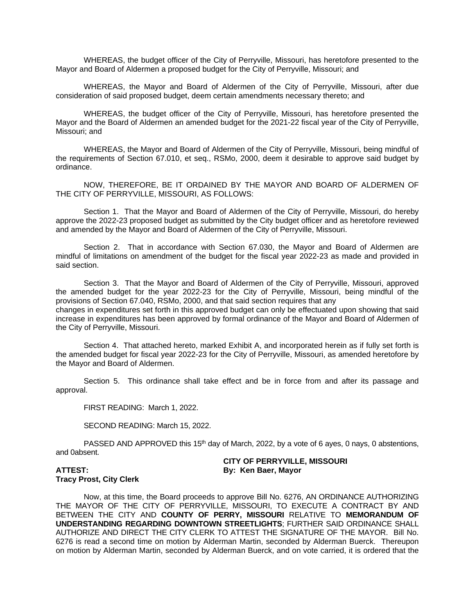WHEREAS, the budget officer of the City of Perryville, Missouri, has heretofore presented to the Mayor and Board of Aldermen a proposed budget for the City of Perryville, Missouri; and

WHEREAS, the Mayor and Board of Aldermen of the City of Perryville, Missouri, after due consideration of said proposed budget, deem certain amendments necessary thereto; and

WHEREAS, the budget officer of the City of Perryville, Missouri, has heretofore presented the Mayor and the Board of Aldermen an amended budget for the 2021-22 fiscal year of the City of Perryville, Missouri; and

WHEREAS, the Mayor and Board of Aldermen of the City of Perryville, Missouri, being mindful of the requirements of Section 67.010, et seq., RSMo, 2000, deem it desirable to approve said budget by ordinance.

NOW, THEREFORE, BE IT ORDAINED BY THE MAYOR AND BOARD OF ALDERMEN OF THE CITY OF PERRYVILLE, MISSOURI, AS FOLLOWS:

Section 1. That the Mayor and Board of Aldermen of the City of Perryville, Missouri, do hereby approve the 2022-23 proposed budget as submitted by the City budget officer and as heretofore reviewed and amended by the Mayor and Board of Aldermen of the City of Perryville, Missouri.

Section 2. That in accordance with Section 67.030, the Mayor and Board of Aldermen are mindful of limitations on amendment of the budget for the fiscal year 2022-23 as made and provided in said section.

Section 3. That the Mayor and Board of Aldermen of the City of Perryville, Missouri, approved the amended budget for the year 2022-23 for the City of Perryville, Missouri, being mindful of the provisions of Section 67.040, RSMo, 2000, and that said section requires that any changes in expenditures set forth in this approved budget can only be effectuated upon showing that said increase in expenditures has been approved by formal ordinance of the Mayor and Board of Aldermen of the City of Perryville, Missouri.

Section 4. That attached hereto, marked Exhibit A, and incorporated herein as if fully set forth is the amended budget for fiscal year 2022-23 for the City of Perryville, Missouri, as amended heretofore by the Mayor and Board of Aldermen.

Section 5. This ordinance shall take effect and be in force from and after its passage and approval.

FIRST READING: March 1, 2022.

SECOND READING: March 15, 2022.

PASSED AND APPROVED this 15<sup>th</sup> day of March, 2022, by a vote of 6 ayes, 0 nays, 0 abstentions, and 0absent.

**CITY OF PERRYVILLE, MISSOURI ATTEST: By: Ken Baer, Mayor**

# **Tracy Prost, City Clerk**

Now, at this time, the Board proceeds to approve Bill No. 6276, AN ORDINANCE AUTHORIZING THE MAYOR OF THE CITY OF PERRYVILLE, MISSOURI, TO EXECUTE A CONTRACT BY AND BETWEEN THE CITY AND **COUNTY OF PERRY, MISSOURI** RELATIVE TO **MEMORANDUM OF UNDERSTANDING REGARDING DOWNTOWN STREETLIGHTS**; FURTHER SAID ORDINANCE SHALL AUTHORIZE AND DIRECT THE CITY CLERK TO ATTEST THE SIGNATURE OF THE MAYOR. Bill No. 6276 is read a second time on motion by Alderman Martin, seconded by Alderman Buerck. Thereupon on motion by Alderman Martin, seconded by Alderman Buerck, and on vote carried, it is ordered that the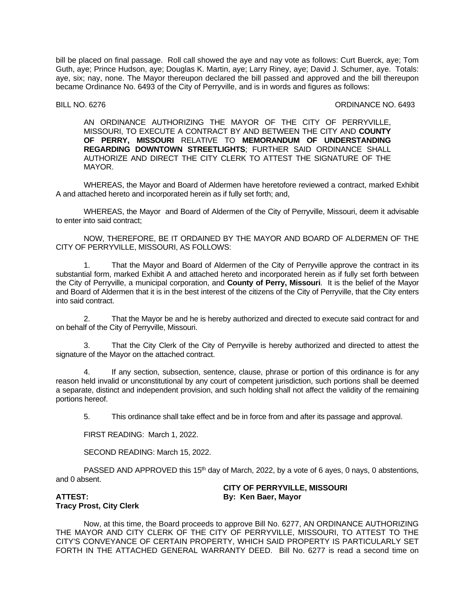bill be placed on final passage. Roll call showed the aye and nay vote as follows: Curt Buerck, aye; Tom Guth, aye; Prince Hudson, aye; Douglas K. Martin, aye; Larry Riney, aye; David J. Schumer, aye. Totals: aye, six; nay, none. The Mayor thereupon declared the bill passed and approved and the bill thereupon became Ordinance No. 6493 of the City of Perryville, and is in words and figures as follows:

### BILL NO. 6276 CHEEF CONSULTER STATES AND THE SERVICE OF STATES OR DINANCE NO. 6493

AN ORDINANCE AUTHORIZING THE MAYOR OF THE CITY OF PERRYVILLE, MISSOURI, TO EXECUTE A CONTRACT BY AND BETWEEN THE CITY AND **COUNTY OF PERRY, MISSOURI** RELATIVE TO **MEMORANDUM OF UNDERSTANDING REGARDING DOWNTOWN STREETLIGHTS**; FURTHER SAID ORDINANCE SHALL AUTHORIZE AND DIRECT THE CITY CLERK TO ATTEST THE SIGNATURE OF THE MAYOR.

WHEREAS, the Mayor and Board of Aldermen have heretofore reviewed a contract, marked Exhibit A and attached hereto and incorporated herein as if fully set forth; and,

WHEREAS, the Mayor and Board of Aldermen of the City of Perryville, Missouri, deem it advisable to enter into said contract;

NOW, THEREFORE, BE IT ORDAINED BY THE MAYOR AND BOARD OF ALDERMEN OF THE CITY OF PERRYVILLE, MISSOURI, AS FOLLOWS:

1. That the Mayor and Board of Aldermen of the City of Perryville approve the contract in its substantial form, marked Exhibit A and attached hereto and incorporated herein as if fully set forth between the City of Perryville, a municipal corporation, and **County of Perry, Missouri**. It is the belief of the Mayor and Board of Aldermen that it is in the best interest of the citizens of the City of Perryville, that the City enters into said contract.

2. That the Mayor be and he is hereby authorized and directed to execute said contract for and on behalf of the City of Perryville, Missouri.

3. That the City Clerk of the City of Perryville is hereby authorized and directed to attest the signature of the Mayor on the attached contract.

4. If any section, subsection, sentence, clause, phrase or portion of this ordinance is for any reason held invalid or unconstitutional by any court of competent jurisdiction, such portions shall be deemed a separate, distinct and independent provision, and such holding shall not affect the validity of the remaining portions hereof.

5. This ordinance shall take effect and be in force from and after its passage and approval.

FIRST READING: March 1, 2022.

SECOND READING: March 15, 2022.

PASSED AND APPROVED this 15<sup>th</sup> day of March, 2022, by a vote of 6 ayes, 0 nays, 0 abstentions, and 0 absent.

# **CITY OF PERRYVILLE, MISSOURI ATTEST: By: Ken Baer, Mayor**

# **Tracy Prost, City Clerk**

Now, at this time, the Board proceeds to approve Bill No. 6277, AN ORDINANCE AUTHORIZING THE MAYOR AND CITY CLERK OF THE CITY OF PERRYVILLE, MISSOURI, TO ATTEST TO THE CITY'S CONVEYANCE OF CERTAIN PROPERTY, WHICH SAID PROPERTY IS PARTICULARLY SET FORTH IN THE ATTACHED GENERAL WARRANTY DEED. Bill No. 6277 is read a second time on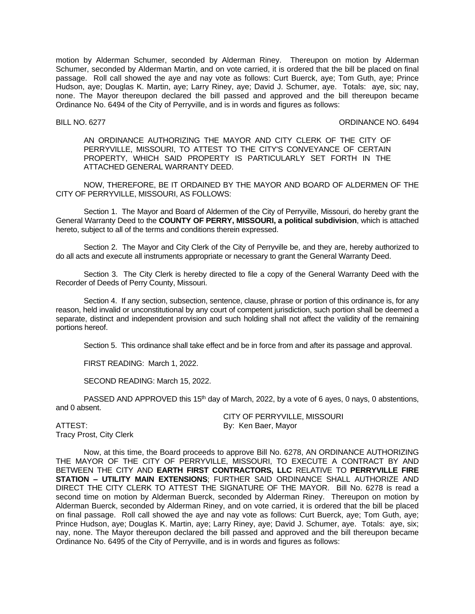motion by Alderman Schumer, seconded by Alderman Riney. Thereupon on motion by Alderman Schumer, seconded by Alderman Martin, and on vote carried, it is ordered that the bill be placed on final passage. Roll call showed the aye and nay vote as follows: Curt Buerck, aye; Tom Guth, aye; Prince Hudson, aye; Douglas K. Martin, aye; Larry Riney, aye; David J. Schumer, aye. Totals: aye, six; nay, none. The Mayor thereupon declared the bill passed and approved and the bill thereupon became Ordinance No. 6494 of the City of Perryville, and is in words and figures as follows:

BILL NO. 6277 CHEEF ORDINANCE NO. 6494

AN ORDINANCE AUTHORIZING THE MAYOR AND CITY CLERK OF THE CITY OF PERRYVILLE, MISSOURI, TO ATTEST TO THE CITY'S CONVEYANCE OF CERTAIN PROPERTY, WHICH SAID PROPERTY IS PARTICULARLY SET FORTH IN THE ATTACHED GENERAL WARRANTY DEED.

NOW, THEREFORE, BE IT ORDAINED BY THE MAYOR AND BOARD OF ALDERMEN OF THE CITY OF PERRYVILLE, MISSOURI, AS FOLLOWS:

Section 1. The Mayor and Board of Aldermen of the City of Perryville, Missouri, do hereby grant the General Warranty Deed to the **COUNTY OF PERRY, MISSOURI, a political subdivision**, which is attached hereto, subject to all of the terms and conditions therein expressed.

Section 2. The Mayor and City Clerk of the City of Perryville be, and they are, hereby authorized to do all acts and execute all instruments appropriate or necessary to grant the General Warranty Deed.

Section 3. The City Clerk is hereby directed to file a copy of the General Warranty Deed with the Recorder of Deeds of Perry County, Missouri.

Section 4. If any section, subsection, sentence, clause, phrase or portion of this ordinance is, for any reason, held invalid or unconstitutional by any court of competent jurisdiction, such portion shall be deemed a separate, distinct and independent provision and such holding shall not affect the validity of the remaining portions hereof.

Section 5. This ordinance shall take effect and be in force from and after its passage and approval.

FIRST READING: March 1, 2022.

SECOND READING: March 15, 2022.

PASSED AND APPROVED this 15<sup>th</sup> day of March, 2022, by a vote of 6 ayes, 0 nays, 0 abstentions, and 0 absent.

ATTEST: By: Ken Baer, Mayor Tracy Prost, City Clerk

CITY OF PERRYVILLE, MISSOURI

Now, at this time, the Board proceeds to approve Bill No. 6278, AN ORDINANCE AUTHORIZING THE MAYOR OF THE CITY OF PERRYVILLE, MISSOURI, TO EXECUTE A CONTRACT BY AND BETWEEN THE CITY AND **EARTH FIRST CONTRACTORS, LLC** RELATIVE TO **PERRYVILLE FIRE STATION – UTILITY MAIN EXTENSIONS**; FURTHER SAID ORDINANCE SHALL AUTHORIZE AND DIRECT THE CITY CLERK TO ATTEST THE SIGNATURE OF THE MAYOR. Bill No. 6278 is read a second time on motion by Alderman Buerck, seconded by Alderman Riney. Thereupon on motion by Alderman Buerck, seconded by Alderman Riney, and on vote carried, it is ordered that the bill be placed on final passage. Roll call showed the aye and nay vote as follows: Curt Buerck, aye; Tom Guth, aye; Prince Hudson, aye; Douglas K. Martin, aye; Larry Riney, aye; David J. Schumer, aye. Totals: aye, six; nay, none. The Mayor thereupon declared the bill passed and approved and the bill thereupon became Ordinance No. 6495 of the City of Perryville, and is in words and figures as follows: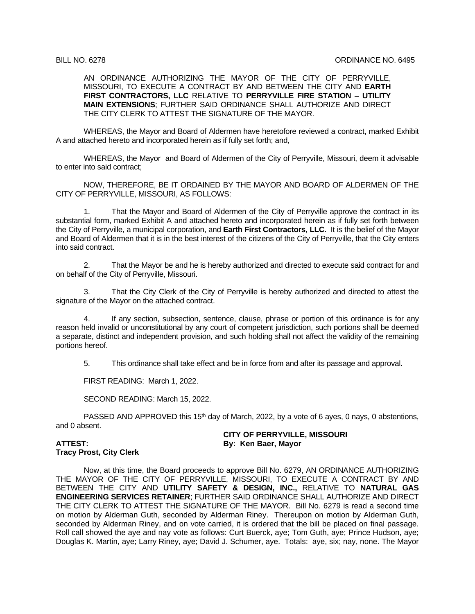AN ORDINANCE AUTHORIZING THE MAYOR OF THE CITY OF PERRYVILLE, MISSOURI, TO EXECUTE A CONTRACT BY AND BETWEEN THE CITY AND **EARTH FIRST CONTRACTORS, LLC** RELATIVE TO **PERRYVILLE FIRE STATION – UTILITY MAIN EXTENSIONS**; FURTHER SAID ORDINANCE SHALL AUTHORIZE AND DIRECT THE CITY CLERK TO ATTEST THE SIGNATURE OF THE MAYOR.

WHEREAS, the Mayor and Board of Aldermen have heretofore reviewed a contract, marked Exhibit A and attached hereto and incorporated herein as if fully set forth; and,

WHEREAS, the Mayor and Board of Aldermen of the City of Perryville, Missouri, deem it advisable to enter into said contract;

NOW, THEREFORE, BE IT ORDAINED BY THE MAYOR AND BOARD OF ALDERMEN OF THE CITY OF PERRYVILLE, MISSOURI, AS FOLLOWS:

1. That the Mayor and Board of Aldermen of the City of Perryville approve the contract in its substantial form, marked Exhibit A and attached hereto and incorporated herein as if fully set forth between the City of Perryville, a municipal corporation, and **Earth First Contractors, LLC**. It is the belief of the Mayor and Board of Aldermen that it is in the best interest of the citizens of the City of Perryville, that the City enters into said contract.

2. That the Mayor be and he is hereby authorized and directed to execute said contract for and on behalf of the City of Perryville, Missouri.

3. That the City Clerk of the City of Perryville is hereby authorized and directed to attest the signature of the Mayor on the attached contract.

4. If any section, subsection, sentence, clause, phrase or portion of this ordinance is for any reason held invalid or unconstitutional by any court of competent jurisdiction, such portions shall be deemed a separate, distinct and independent provision, and such holding shall not affect the validity of the remaining portions hereof.

5. This ordinance shall take effect and be in force from and after its passage and approval.

FIRST READING: March 1, 2022.

SECOND READING: March 15, 2022.

PASSED AND APPROVED this 15<sup>th</sup> day of March, 2022, by a vote of 6 ayes, 0 nays, 0 abstentions, and 0 absent.

**CITY OF PERRYVILLE, MISSOURI ATTEST: By: Ken Baer, Mayor**

# **Tracy Prost, City Clerk**

Now, at this time, the Board proceeds to approve Bill No. 6279, AN ORDINANCE AUTHORIZING THE MAYOR OF THE CITY OF PERRYVILLE, MISSOURI, TO EXECUTE A CONTRACT BY AND BETWEEN THE CITY AND **UTILITY SAFETY & DESIGN, INC.,** RELATIVE TO **NATURAL GAS ENGINEERING SERVICES RETAINER**; FURTHER SAID ORDINANCE SHALL AUTHORIZE AND DIRECT THE CITY CLERK TO ATTEST THE SIGNATURE OF THE MAYOR. Bill No. 6279 is read a second time on motion by Alderman Guth, seconded by Alderman Riney. Thereupon on motion by Alderman Guth, seconded by Alderman Riney, and on vote carried, it is ordered that the bill be placed on final passage. Roll call showed the aye and nay vote as follows: Curt Buerck, aye; Tom Guth, aye; Prince Hudson, aye; Douglas K. Martin, aye; Larry Riney, aye; David J. Schumer, aye. Totals: aye, six; nay, none. The Mayor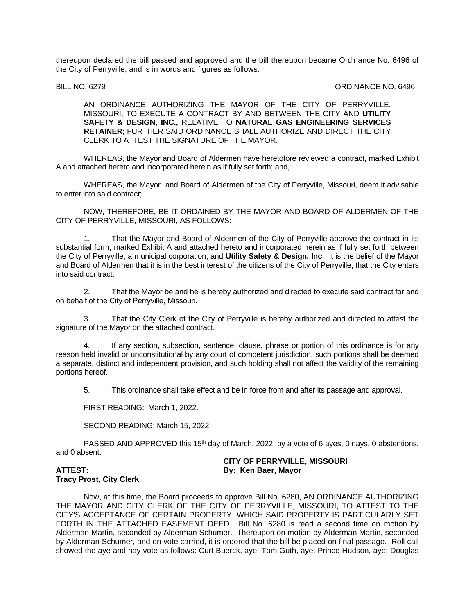thereupon declared the bill passed and approved and the bill thereupon became Ordinance No. 6496 of the City of Perryville, and is in words and figures as follows:

### BILL NO. 6279 CROWLED AND CONSULTED A SERVICE OF A STRUCK ORDINANCE NO. 6496

# AN ORDINANCE AUTHORIZING THE MAYOR OF THE CITY OF PERRYVILLE, MISSOURI, TO EXECUTE A CONTRACT BY AND BETWEEN THE CITY AND **UTILITY SAFETY & DESIGN, INC.,** RELATIVE TO **NATURAL GAS ENGINEERING SERVICES RETAINER**; FURTHER SAID ORDINANCE SHALL AUTHORIZE AND DIRECT THE CITY CLERK TO ATTEST THE SIGNATURE OF THE MAYOR.

WHEREAS, the Mayor and Board of Aldermen have heretofore reviewed a contract, marked Exhibit A and attached hereto and incorporated herein as if fully set forth; and,

WHEREAS, the Mayor and Board of Aldermen of the City of Perryville, Missouri, deem it advisable to enter into said contract;

NOW, THEREFORE, BE IT ORDAINED BY THE MAYOR AND BOARD OF ALDERMEN OF THE CITY OF PERRYVILLE, MISSOURI, AS FOLLOWS:

1. That the Mayor and Board of Aldermen of the City of Perryville approve the contract in its substantial form, marked Exhibit A and attached hereto and incorporated herein as if fully set forth between the City of Perryville, a municipal corporation, and **Utility Safety & Design, Inc**. It is the belief of the Mayor and Board of Aldermen that it is in the best interest of the citizens of the City of Perryville, that the City enters into said contract.

2. That the Mayor be and he is hereby authorized and directed to execute said contract for and on behalf of the City of Perryville, Missouri.

3. That the City Clerk of the City of Perryville is hereby authorized and directed to attest the signature of the Mayor on the attached contract.

4. If any section, subsection, sentence, clause, phrase or portion of this ordinance is for any reason held invalid or unconstitutional by any court of competent jurisdiction, such portions shall be deemed a separate, distinct and independent provision, and such holding shall not affect the validity of the remaining portions hereof.

5. This ordinance shall take effect and be in force from and after its passage and approval.

FIRST READING: March 1, 2022.

SECOND READING: March 15, 2022.

PASSED AND APPROVED this 15<sup>th</sup> day of March, 2022, by a vote of 6 ayes, 0 nays, 0 abstentions, and 0 absent.

# **CITY OF PERRYVILLE, MISSOURI ATTEST: By: Ken Baer, Mayor**

# **Tracy Prost, City Clerk**

Now, at this time, the Board proceeds to approve Bill No. 6280, AN ORDINANCE AUTHORIZING THE MAYOR AND CITY CLERK OF THE CITY OF PERRYVILLE, MISSOURI, TO ATTEST TO THE CITY'S ACCEPTANCE OF CERTAIN PROPERTY, WHICH SAID PROPERTY IS PARTICULARLY SET FORTH IN THE ATTACHED EASEMENT DEED. Bill No. 6280 is read a second time on motion by Alderman Martin, seconded by Alderman Schumer. Thereupon on motion by Alderman Martin, seconded by Alderman Schumer, and on vote carried, it is ordered that the bill be placed on final passage. Roll call showed the aye and nay vote as follows: Curt Buerck, aye; Tom Guth, aye; Prince Hudson, aye; Douglas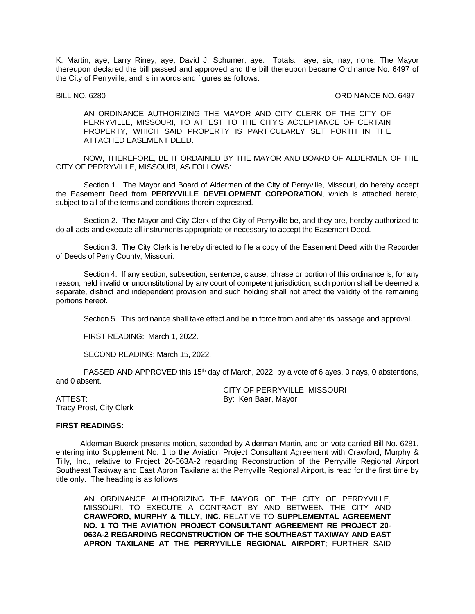K. Martin, aye; Larry Riney, aye; David J. Schumer, aye. Totals: aye, six; nay, none. The Mayor thereupon declared the bill passed and approved and the bill thereupon became Ordinance No. 6497 of the City of Perryville, and is in words and figures as follows:

#### BILL NO. 6280 CROWN CONSULTED A SALE OF STRAIGHT AND CONSULTED A SALE OF STRAIGHT AND STRAIGHT AND STRAIGHT A SALE OF STRAIGHT AND STRAIGHT A SALE OF STRAIGHT AND STRAIGHT A SALE OF STRAIGHT AND STRAIGHT A SALE OF STRAIGHT

AN ORDINANCE AUTHORIZING THE MAYOR AND CITY CLERK OF THE CITY OF PERRYVILLE, MISSOURI, TO ATTEST TO THE CITY'S ACCEPTANCE OF CERTAIN PROPERTY, WHICH SAID PROPERTY IS PARTICULARLY SET FORTH IN THE ATTACHED EASEMENT DEED.

NOW, THEREFORE, BE IT ORDAINED BY THE MAYOR AND BOARD OF ALDERMEN OF THE CITY OF PERRYVILLE, MISSOURI, AS FOLLOWS:

Section 1. The Mayor and Board of Aldermen of the City of Perryville, Missouri, do hereby accept the Easement Deed from **PERRYVILLE DEVELOPMENT CORPORATION**, which is attached hereto, subject to all of the terms and conditions therein expressed.

Section 2. The Mayor and City Clerk of the City of Perryville be, and they are, hereby authorized to do all acts and execute all instruments appropriate or necessary to accept the Easement Deed.

Section 3. The City Clerk is hereby directed to file a copy of the Easement Deed with the Recorder of Deeds of Perry County, Missouri.

Section 4. If any section, subsection, sentence, clause, phrase or portion of this ordinance is, for any reason, held invalid or unconstitutional by any court of competent jurisdiction, such portion shall be deemed a separate, distinct and independent provision and such holding shall not affect the validity of the remaining portions hereof.

Section 5. This ordinance shall take effect and be in force from and after its passage and approval.

FIRST READING: March 1, 2022.

SECOND READING: March 15, 2022.

PASSED AND APPROVED this 15<sup>th</sup> day of March, 2022, by a vote of 6 ayes, 0 nays, 0 abstentions, and 0 absent.

ATTEST: By: Ken Baer, Mayor Tracy Prost, City Clerk

CITY OF PERRYVILLE, MISSOURI

#### **FIRST READINGS:**

Alderman Buerck presents motion, seconded by Alderman Martin, and on vote carried Bill No. 6281, entering into Supplement No. 1 to the Aviation Project Consultant Agreement with Crawford, Murphy & Tilly, Inc., relative to Project 20-063A-2 regarding Reconstruction of the Perryville Regional Airport Southeast Taxiway and East Apron Taxilane at the Perryville Regional Airport, is read for the first time by title only. The heading is as follows:

AN ORDINANCE AUTHORIZING THE MAYOR OF THE CITY OF PERRYVILLE, MISSOURI, TO EXECUTE A CONTRACT BY AND BETWEEN THE CITY AND **CRAWFORD, MURPHY & TILLY, INC.** RELATIVE TO **SUPPLEMENTAL AGREEMENT NO. 1 TO THE AVIATION PROJECT CONSULTANT AGREEMENT RE PROJECT 20- 063A-2 REGARDING RECONSTRUCTION OF THE SOUTHEAST TAXIWAY AND EAST APRON TAXILANE AT THE PERRYVILLE REGIONAL AIRPORT**; FURTHER SAID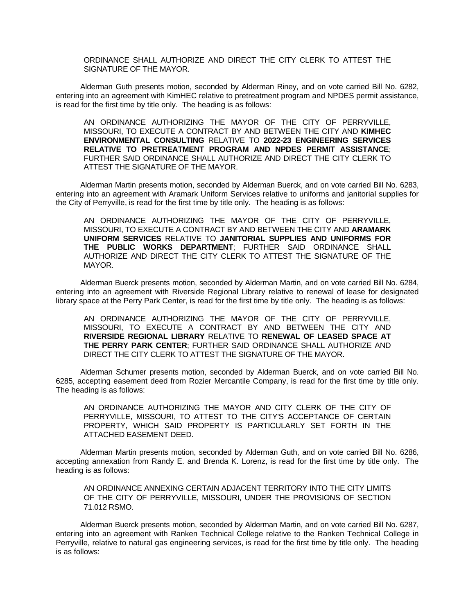ORDINANCE SHALL AUTHORIZE AND DIRECT THE CITY CLERK TO ATTEST THE SIGNATURE OF THE MAYOR.

Alderman Guth presents motion, seconded by Alderman Riney, and on vote carried Bill No. 6282, entering into an agreement with KimHEC relative to pretreatment program and NPDES permit assistance, is read for the first time by title only. The heading is as follows:

AN ORDINANCE AUTHORIZING THE MAYOR OF THE CITY OF PERRYVILLE, MISSOURI, TO EXECUTE A CONTRACT BY AND BETWEEN THE CITY AND **KIMHEC ENVIRONMENTAL CONSULTING** RELATIVE TO **2022-23 ENGINEERING SERVICES RELATIVE TO PRETREATMENT PROGRAM AND NPDES PERMIT ASSISTANCE**; FURTHER SAID ORDINANCE SHALL AUTHORIZE AND DIRECT THE CITY CLERK TO ATTEST THE SIGNATURE OF THE MAYOR.

Alderman Martin presents motion, seconded by Alderman Buerck, and on vote carried Bill No. 6283, entering into an agreement with Aramark Uniform Services relative to uniforms and janitorial supplies for the City of Perryville, is read for the first time by title only. The heading is as follows:

AN ORDINANCE AUTHORIZING THE MAYOR OF THE CITY OF PERRYVILLE, MISSOURI, TO EXECUTE A CONTRACT BY AND BETWEEN THE CITY AND **ARAMARK UNIFORM SERVICES** RELATIVE TO **JANITORIAL SUPPLIES AND UNIFORMS FOR THE PUBLIC WORKS DEPARTMENT**; FURTHER SAID ORDINANCE SHALL AUTHORIZE AND DIRECT THE CITY CLERK TO ATTEST THE SIGNATURE OF THE MAYOR.

Alderman Buerck presents motion, seconded by Alderman Martin, and on vote carried Bill No. 6284, entering into an agreement with Riverside Regional Library relative to renewal of lease for designated library space at the Perry Park Center, is read for the first time by title only. The heading is as follows:

AN ORDINANCE AUTHORIZING THE MAYOR OF THE CITY OF PERRYVILLE, MISSOURI, TO EXECUTE A CONTRACT BY AND BETWEEN THE CITY AND **RIVERSIDE REGIONAL LIBRARY** RELATIVE TO **RENEWAL OF LEASED SPACE AT THE PERRY PARK CENTER**; FURTHER SAID ORDINANCE SHALL AUTHORIZE AND DIRECT THE CITY CLERK TO ATTEST THE SIGNATURE OF THE MAYOR.

Alderman Schumer presents motion, seconded by Alderman Buerck, and on vote carried Bill No. 6285, accepting easement deed from Rozier Mercantile Company, is read for the first time by title only. The heading is as follows:

AN ORDINANCE AUTHORIZING THE MAYOR AND CITY CLERK OF THE CITY OF PERRYVILLE, MISSOURI, TO ATTEST TO THE CITY'S ACCEPTANCE OF CERTAIN PROPERTY, WHICH SAID PROPERTY IS PARTICULARLY SET FORTH IN THE ATTACHED EASEMENT DEED.

Alderman Martin presents motion, seconded by Alderman Guth, and on vote carried Bill No. 6286, accepting annexation from Randy E. and Brenda K. Lorenz, is read for the first time by title only. The heading is as follows:

AN ORDINANCE ANNEXING CERTAIN ADJACENT TERRITORY INTO THE CITY LIMITS OF THE CITY OF PERRYVILLE, MISSOURI, UNDER THE PROVISIONS OF SECTION 71.012 RSMO.

Alderman Buerck presents motion, seconded by Alderman Martin, and on vote carried Bill No. 6287, entering into an agreement with Ranken Technical College relative to the Ranken Technical College in Perryville, relative to natural gas engineering services, is read for the first time by title only. The heading is as follows: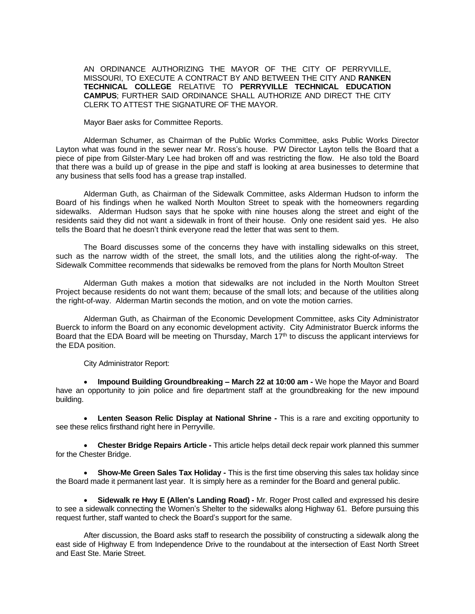AN ORDINANCE AUTHORIZING THE MAYOR OF THE CITY OF PERRYVILLE, MISSOURI, TO EXECUTE A CONTRACT BY AND BETWEEN THE CITY AND **RANKEN TECHNICAL COLLEGE** RELATIVE TO **PERRYVILLE TECHNICAL EDUCATION CAMPUS**; FURTHER SAID ORDINANCE SHALL AUTHORIZE AND DIRECT THE CITY CLERK TO ATTEST THE SIGNATURE OF THE MAYOR.

Mayor Baer asks for Committee Reports.

Alderman Schumer, as Chairman of the Public Works Committee, asks Public Works Director Layton what was found in the sewer near Mr. Ross's house. PW Director Layton tells the Board that a piece of pipe from Gilster-Mary Lee had broken off and was restricting the flow. He also told the Board that there was a build up of grease in the pipe and staff is looking at area businesses to determine that any business that sells food has a grease trap installed.

Alderman Guth, as Chairman of the Sidewalk Committee, asks Alderman Hudson to inform the Board of his findings when he walked North Moulton Street to speak with the homeowners regarding sidewalks. Alderman Hudson says that he spoke with nine houses along the street and eight of the residents said they did not want a sidewalk in front of their house. Only one resident said yes. He also tells the Board that he doesn't think everyone read the letter that was sent to them.

The Board discusses some of the concerns they have with installing sidewalks on this street, such as the narrow width of the street, the small lots, and the utilities along the right-of-way. The Sidewalk Committee recommends that sidewalks be removed from the plans for North Moulton Street

Alderman Guth makes a motion that sidewalks are not included in the North Moulton Street Project because residents do not want them; because of the small lots; and because of the utilities along the right-of-way. Alderman Martin seconds the motion, and on vote the motion carries.

Alderman Guth, as Chairman of the Economic Development Committee, asks City Administrator Buerck to inform the Board on any economic development activity. City Administrator Buerck informs the Board that the EDA Board will be meeting on Thursday, March 17th to discuss the applicant interviews for the EDA position.

City Administrator Report:

 **Impound Building Groundbreaking – March 22 at 10:00 am -** We hope the Mayor and Board have an opportunity to join police and fire department staff at the groundbreaking for the new impound building.

 **Lenten Season Relic Display at National Shrine -** This is a rare and exciting opportunity to see these relics firsthand right here in Perryville.

 **Chester Bridge Repairs Article -** This article helps detail deck repair work planned this summer for the Chester Bridge.

 **Show-Me Green Sales Tax Holiday -** This is the first time observing this sales tax holiday since the Board made it permanent last year. It is simply here as a reminder for the Board and general public.

 **Sidewalk re Hwy E (Allen's Landing Road) -** Mr. Roger Prost called and expressed his desire to see a sidewalk connecting the Women's Shelter to the sidewalks along Highway 61. Before pursuing this request further, staff wanted to check the Board's support for the same.

After discussion, the Board asks staff to research the possibility of constructing a sidewalk along the east side of Highway E from Independence Drive to the roundabout at the intersection of East North Street and East Ste. Marie Street.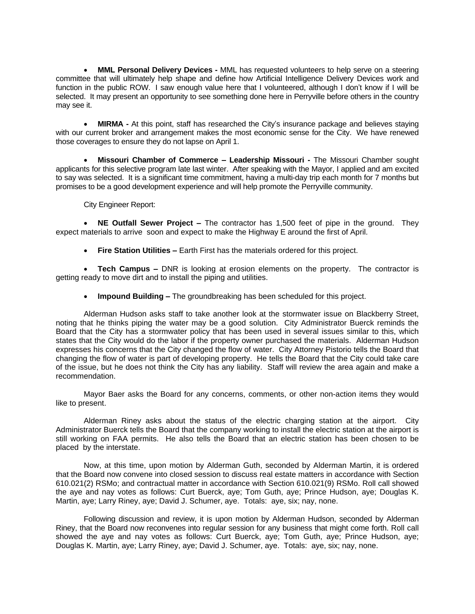**MML Personal Delivery Devices -** MML has requested volunteers to help serve on a steering committee that will ultimately help shape and define how Artificial Intelligence Delivery Devices work and function in the public ROW. I saw enough value here that I volunteered, although I don't know if I will be selected. It may present an opportunity to see something done here in Perryville before others in the country may see it.

 **MIRMA -** At this point, staff has researched the City's insurance package and believes staying with our current broker and arrangement makes the most economic sense for the City. We have renewed those coverages to ensure they do not lapse on April 1.

 **Missouri Chamber of Commerce – Leadership Missouri -** The Missouri Chamber sought applicants for this selective program late last winter. After speaking with the Mayor, I applied and am excited to say was selected. It is a significant time commitment, having a multi-day trip each month for 7 months but promises to be a good development experience and will help promote the Perryville community.

City Engineer Report:

 **NE Outfall Sewer Project –** The contractor has 1,500 feet of pipe in the ground. They expect materials to arrive soon and expect to make the Highway E around the first of April.

**Fire Station Utilities –** Earth First has the materials ordered for this project.

 **Tech Campus –** DNR is looking at erosion elements on the property. The contractor is getting ready to move dirt and to install the piping and utilities.

**Impound Building –** The groundbreaking has been scheduled for this project.

Alderman Hudson asks staff to take another look at the stormwater issue on Blackberry Street, noting that he thinks piping the water may be a good solution. City Administrator Buerck reminds the Board that the City has a stormwater policy that has been used in several issues similar to this, which states that the City would do the labor if the property owner purchased the materials. Alderman Hudson expresses his concerns that the City changed the flow of water. City Attorney Pistorio tells the Board that changing the flow of water is part of developing property. He tells the Board that the City could take care of the issue, but he does not think the City has any liability. Staff will review the area again and make a recommendation.

Mayor Baer asks the Board for any concerns, comments, or other non-action items they would like to present.

Alderman Riney asks about the status of the electric charging station at the airport. City Administrator Buerck tells the Board that the company working to install the electric station at the airport is still working on FAA permits. He also tells the Board that an electric station has been chosen to be placed by the interstate.

Now, at this time, upon motion by Alderman Guth, seconded by Alderman Martin, it is ordered that the Board now convene into closed session to discuss real estate matters in accordance with Section 610.021(2) RSMo; and contractual matter in accordance with Section 610.021(9) RSMo. Roll call showed the aye and nay votes as follows: Curt Buerck, aye; Tom Guth, aye; Prince Hudson, aye; Douglas K. Martin, aye; Larry Riney, aye; David J. Schumer, aye. Totals: aye, six; nay, none.

Following discussion and review, it is upon motion by Alderman Hudson, seconded by Alderman Riney, that the Board now reconvenes into regular session for any business that might come forth. Roll call showed the aye and nay votes as follows: Curt Buerck, aye; Tom Guth, aye; Prince Hudson, aye; Douglas K. Martin, aye; Larry Riney, aye; David J. Schumer, aye. Totals: aye, six; nay, none.